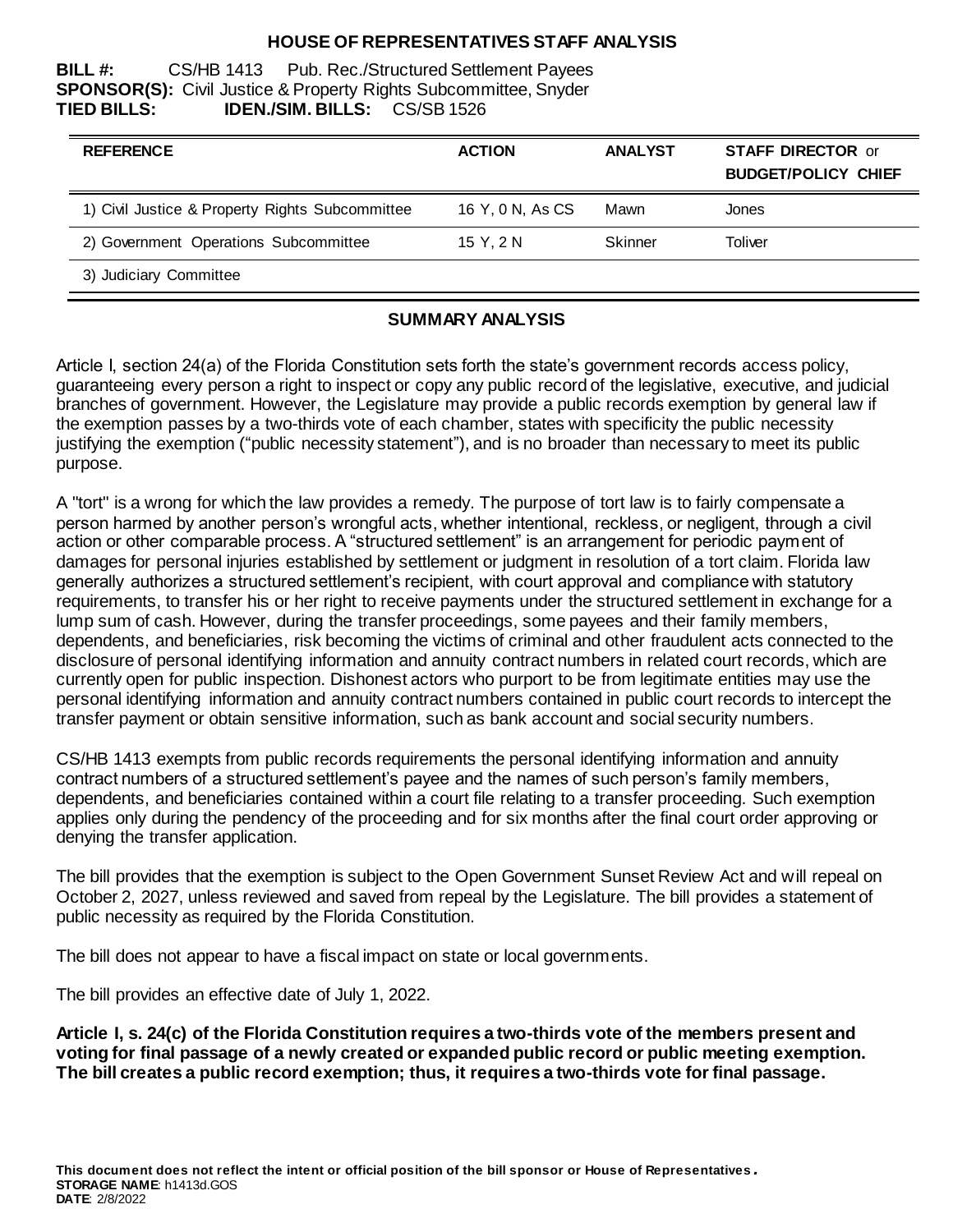### **HOUSE OF REPRESENTATIVES STAFF ANALYSIS**

**BILL #:** CS/HB 1413 Pub. Rec./Structured Settlement Payees **SPONSOR(S):** Civil Justice & Property Rights Subcommittee, Snyder **TIED BILLS: IDEN./SIM. BILLS:** CS/SB 1526

| <b>REFERENCE</b>                                | <b>ACTION</b>    | <b>ANALYST</b> | <b>STAFF DIRECTOR or</b><br><b>BUDGET/POLICY CHIEF</b> |
|-------------------------------------------------|------------------|----------------|--------------------------------------------------------|
| 1) Civil Justice & Property Rights Subcommittee | 16 Y, 0 N, As CS | Mawn           | Jones                                                  |
| 2) Government Operations Subcommittee           | 15 Y. 2 N        | Skinner        | Toliver                                                |
| 3) Judiciary Committee                          |                  |                |                                                        |

### **SUMMARY ANALYSIS**

Article I, section 24(a) of the Florida Constitution sets forth the state's government records access policy, guaranteeing every person a right to inspect or copy any public record of the legislative, executive, and judicial branches of government. However, the Legislature may provide a public records exemption by general law if the exemption passes by a two-thirds vote of each chamber, states with specificity the public necessity justifying the exemption ("public necessity statement"), and is no broader than necessary to meet its public purpose.

A "tort" is a wrong for which the law provides a remedy. The purpose of tort law is to fairly compensate a person harmed by another person's wrongful acts, whether intentional, reckless, or negligent, through a civil action or other comparable process. A "structured settlement" is an arrangement for periodic payment of damages for personal injuries established by settlement or judgment in resolution of a tort claim. Florida law generally authorizes a structured settlement's recipient, with court approval and compliance with statutory requirements, to transfer his or her right to receive payments under the structured settlement in exchange for a lump sum of cash. However, during the transfer proceedings, some payees and their family members, dependents, and beneficiaries, risk becoming the victims of criminal and other fraudulent acts connected to the disclosure of personal identifying information and annuity contract numbers in related court records, which are currently open for public inspection. Dishonest actors who purport to be from legitimate entities may use the personal identifying information and annuity contract numbers contained in public court records to intercept the transfer payment or obtain sensitive information, such as bank account and social security numbers.

CS/HB 1413 exempts from public records requirements the personal identifying information and annuity contract numbers of a structured settlement's payee and the names of such person's family members, dependents, and beneficiaries contained within a court file relating to a transfer proceeding. Such exemption applies only during the pendency of the proceeding and for six months after the final court order approving or denying the transfer application.

The bill provides that the exemption is subject to the Open Government Sunset Review Act and will repeal on October 2, 2027, unless reviewed and saved from repeal by the Legislature. The bill provides a statement of public necessity as required by the Florida Constitution.

The bill does not appear to have a fiscal impact on state or local governments.

The bill provides an effective date of July 1, 2022.

**Article I, s. 24(c) of the Florida Constitution requires a two-thirds vote of the members present and voting for final passage of a newly created or expanded public record or public meeting exemption. The bill creates a public record exemption; thus, it requires a two-thirds vote for final passage.**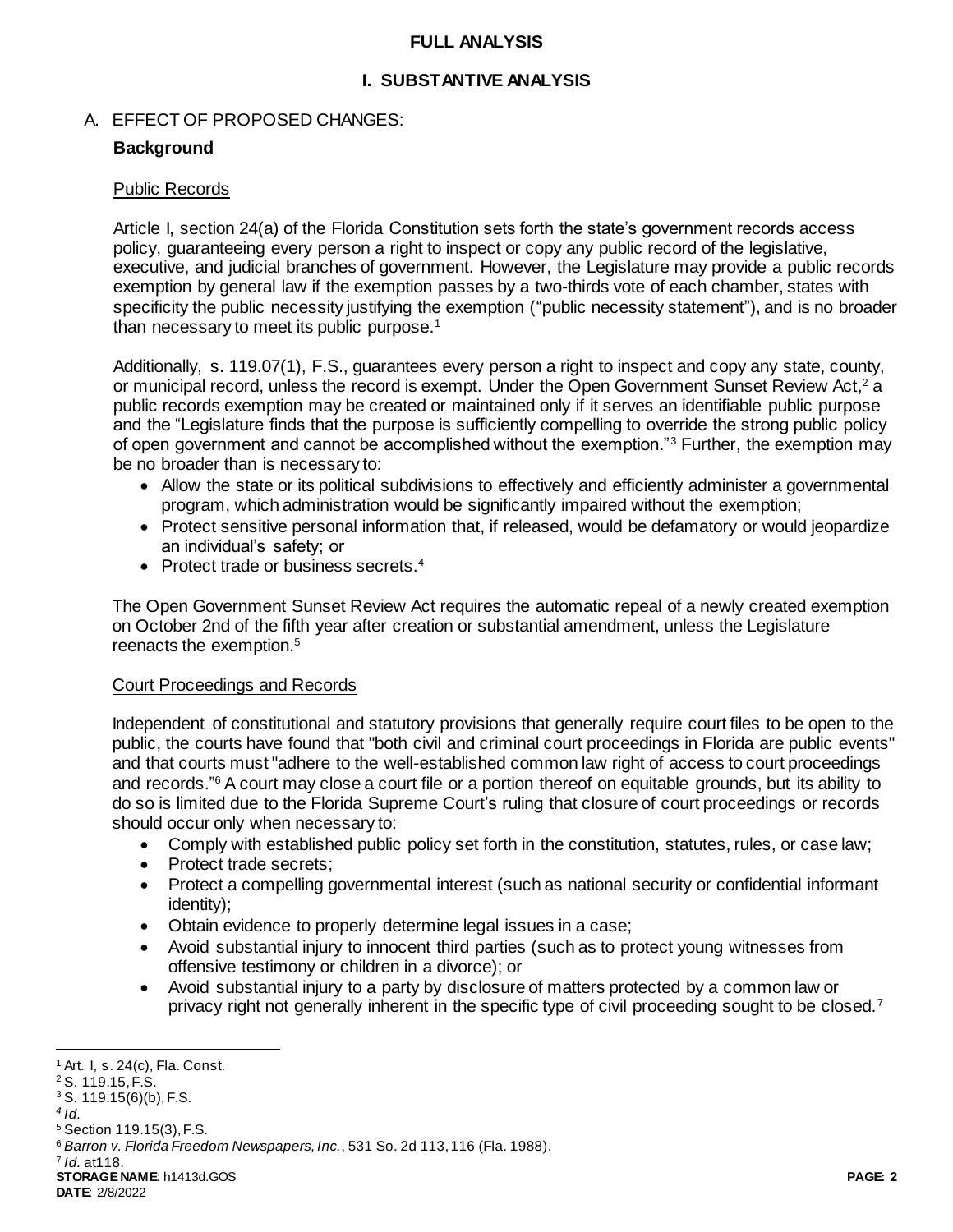### **FULL ANALYSIS**

## **I. SUBSTANTIVE ANALYSIS**

### A. EFFECT OF PROPOSED CHANGES:

### **Background**

#### Public Records

Article I, section 24(a) of the Florida Constitution sets forth the state's government records access policy, guaranteeing every person a right to inspect or copy any public record of the legislative, executive, and judicial branches of government. However, the Legislature may provide a public records exemption by general law if the exemption passes by a two-thirds vote of each chamber, states with specificity the public necessity justifying the exemption ("public necessity statement"), and is no broader than necessary to meet its public purpose. $1$ 

Additionally, s. 119.07(1), F.S., guarantees every person a right to inspect and copy any state, county, or municipal record, unless the record is exempt. Under the Open Government Sunset Review Act,<sup>2</sup> a public records exemption may be created or maintained only if it serves an identifiable public purpose and the "Legislature finds that the purpose is sufficiently compelling to override the strong public policy of open government and cannot be accomplished without the exemption."<sup>3</sup> Further, the exemption may be no broader than is necessary to:

- Allow the state or its political subdivisions to effectively and efficiently administer a governmental program, which administration would be significantly impaired without the exemption;
- Protect sensitive personal information that, if released, would be defamatory or would jeopardize an individual's safety; or
- Protect trade or business secrets. $4$

The Open Government Sunset Review Act requires the automatic repeal of a newly created exemption on October 2nd of the fifth year after creation or substantial amendment, unless the Legislature reenacts the exemption.<sup>5</sup>

## Court Proceedings and Records

Independent of constitutional and statutory provisions that generally require court files to be open to the public, the courts have found that "both civil and criminal court proceedings in Florida are public events" and that courts must "adhere to the well-established common law right of access to court proceedings and records."<sup>6</sup> A court may close a court file or a portion thereof on equitable grounds, but its ability to do so is limited due to the Florida Supreme Court's ruling that closure of court proceedings or records should occur only when necessary to:

- Comply with established public policy set forth in the constitution, statutes, rules, or case law;
- Protect trade secrets;
- Protect a compelling governmental interest (such as national security or confidential informant identity);
- Obtain evidence to properly determine legal issues in a case;
- Avoid substantial injury to innocent third parties (such as to protect young witnesses from offensive testimony or children in a divorce); or
- Avoid substantial injury to a party by disclosure of matters protected by a common law or privacy right not generally inherent in the specific type of civil proceeding sought to be closed.<sup>7</sup>

7 *Id.* at118.

l  $<sup>1</sup>$  Art. I, s. 24(c), Fla. Const.</sup>

<sup>2</sup> S. 119.15, F.S.

 $3$  S. 119.15(6)(b), F.S.

*<sup>4</sup> Id.*

<sup>5</sup> Section 119.15(3), F.S.

<sup>6</sup> *Barron v. Florida Freedom Newspapers, Inc.*, 531 So. 2d 113, 116 (Fla. 1988).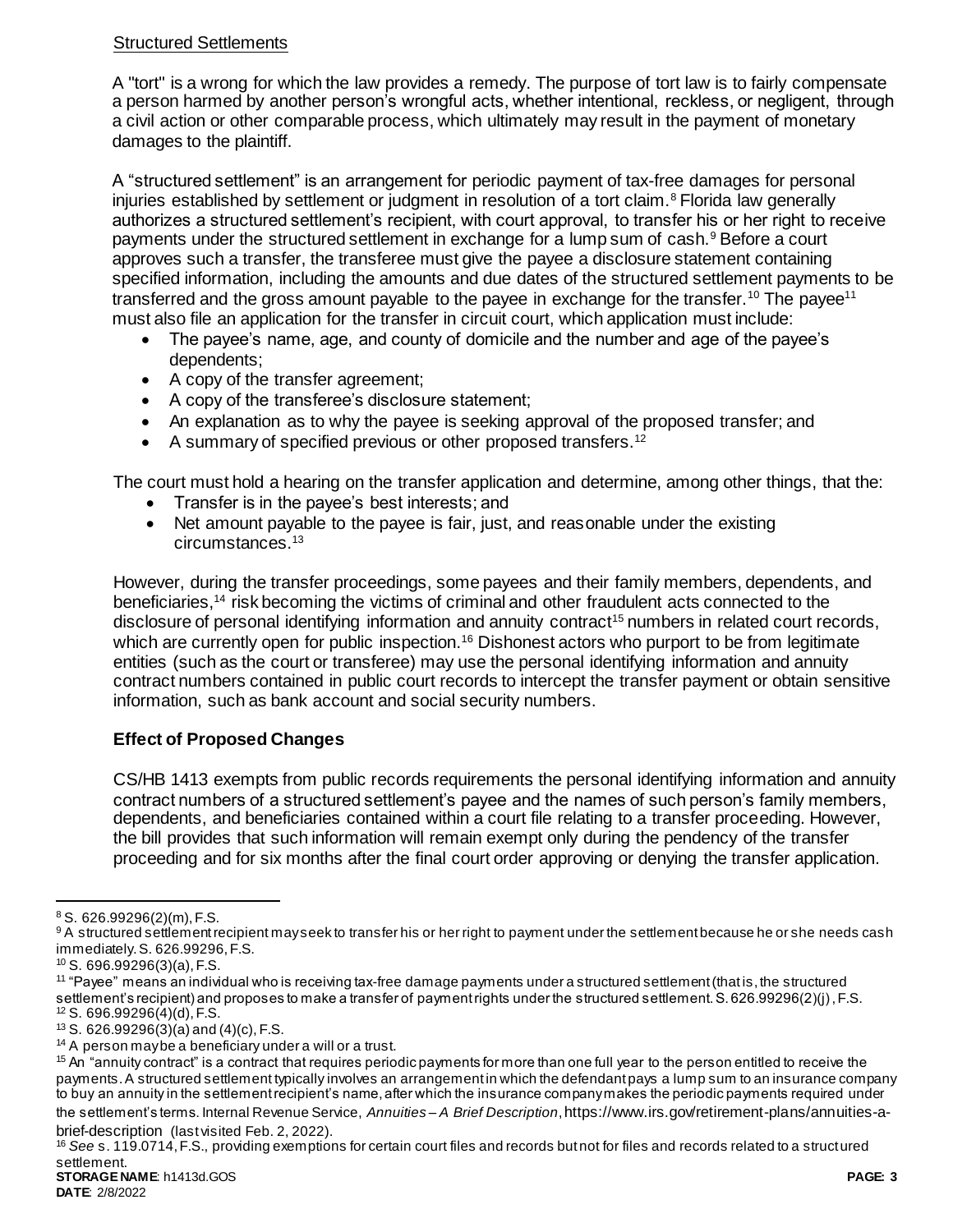## Structured Settlements

A "tort" is a wrong for which the law provides a remedy. The purpose of tort law is to fairly compensate a person harmed by another person's wrongful acts, whether intentional, reckless, or negligent, through a civil action or other comparable process, which ultimately may result in the payment of monetary damages to the plaintiff.

A "structured settlement" is an arrangement for periodic payment of tax-free damages for personal injuries established by settlement or judgment in resolution of a tort claim.<sup>8</sup> Florida law generally authorizes a structured settlement's recipient, with court approval, to transfer his or her right to receive payments under the structured settlement in exchange for a lump sum of cash.<sup>9</sup> Before a court approves such a transfer, the transferee must give the payee a disclosure statement containing specified information, including the amounts and due dates of the structured settlement payments to be transferred and the gross amount payable to the payee in exchange for the transfer.<sup>10</sup> The payee<sup>11</sup> must also file an application for the transfer in circuit court, which application must include:

- The payee's name, age, and county of domicile and the number and age of the payee's dependents;
- A copy of the transfer agreement;
- A copy of the transferee's disclosure statement;
- An explanation as to why the payee is seeking approval of the proposed transfer; and
- A summary of specified previous or other proposed transfers.<sup>12</sup>

The court must hold a hearing on the transfer application and determine, among other things, that the:

- Transfer is in the payee's best interests; and
- Net amount payable to the payee is fair, just, and reasonable under the existing circumstances.<sup>13</sup>

However, during the transfer proceedings, some payees and their family members, dependents, and beneficiaries,<sup>14</sup> risk becoming the victims of criminal and other fraudulent acts connected to the disclosure of personal identifying information and annuity contract<sup>15</sup> numbers in related court records, which are currently open for public inspection.<sup>16</sup> Dishonest actors who purport to be from legitimate entities (such as the court or transferee) may use the personal identifying information and annuity contract numbers contained in public court records to intercept the transfer payment or obtain sensitive information, such as bank account and social security numbers.

# **Effect of Proposed Changes**

CS/HB 1413 exempts from public records requirements the personal identifying information and annuity contract numbers of a structured settlement's payee and the names of such person's family members, dependents, and beneficiaries contained within a court file relating to a transfer proceeding. However, the bill provides that such information will remain exempt only during the pendency of the transfer proceeding and for six months after the final court order approving or denying the transfer application.

 $\overline{a}$ 

**STORAGE NAME**: h1413d.GOS **PAGE: 3** <sup>16</sup> *See* s. 119.0714, F.S., providing exemptions for certain court files and records but not for files and records related to a structured settlement.

**DATE**: 2/8/2022

 $8$  S. 626.99296(2)(m), F.S.

<sup>9</sup>A structured settlement recipient mayseek to transfer his or her right to payment under the settlement because he or she needs cash immediately. S. 626.99296, F.S.

<sup>10</sup> S. 696.99296(3)(a), F.S.

<sup>11</sup> "Payee" means an individual who is receiving tax-free damage payments under a structured settlement (that is, the structured settlement's recipient) and proposes to make a transfer of payment rights under the structured settlement. S. 626.99296(2)(j), F.S. <sup>12</sup> S. 696.99296(4)(d), F.S.

 $13$  S. 626.99296(3)(a) and (4)(c), F.S.

<sup>&</sup>lt;sup>14</sup> A person may be a beneficiary under a will or a trust.

 $15$  An "annuity contract" is a contract that requires periodic payments for more than one full year to the person entitled to receive the payments. A structured settlement typically involves an arrangement in which the defendant pays a lump sum to an insurance company to buy an annuity in the settlement recipient's name, after which the insurance company makes the periodic payments required under the settlement's terms. Internal Revenue Service, *Annuities – A Brief Description*, https://www.irs.gov/retirement-plans/annuities-abrief-description (last visited Feb. 2, 2022).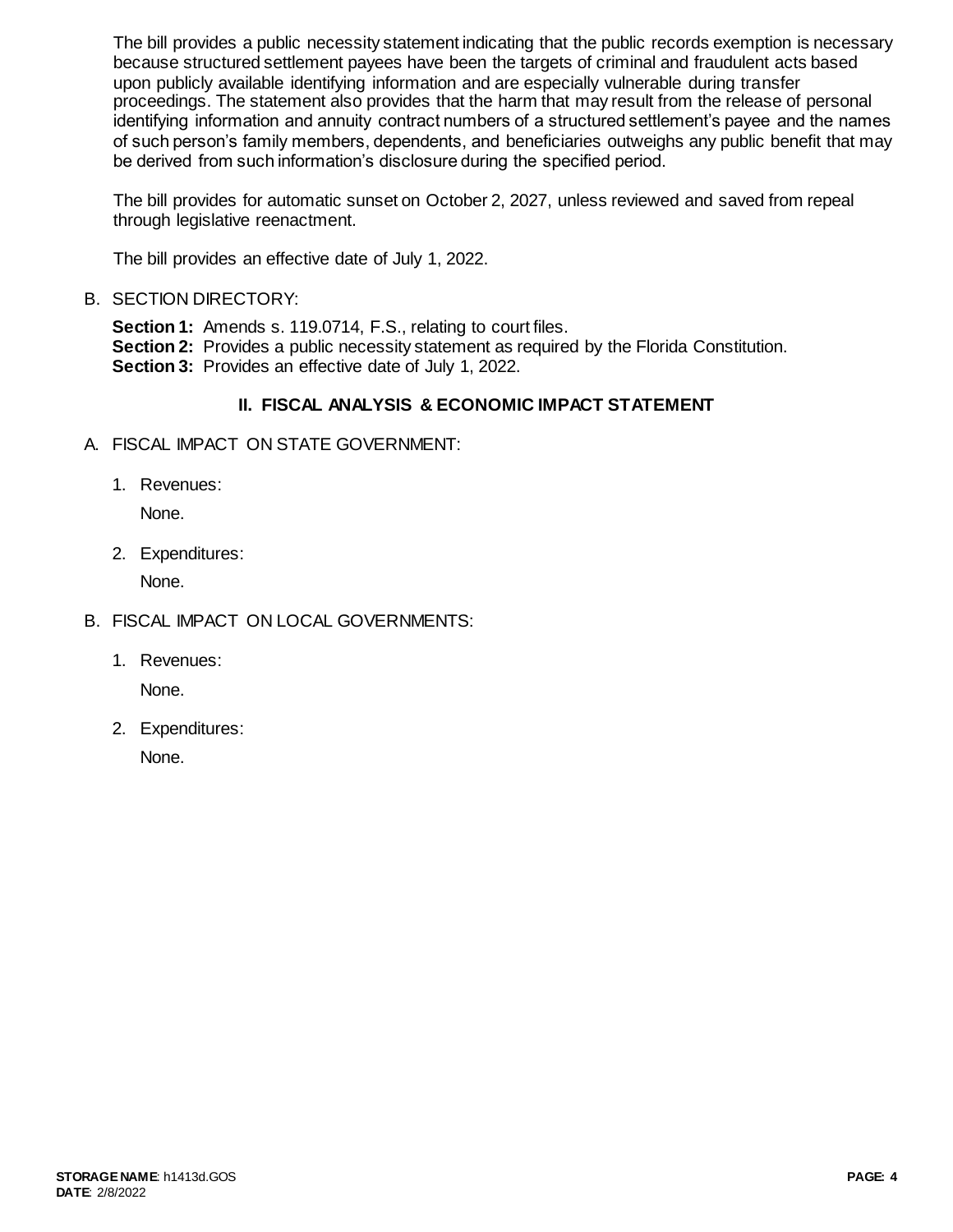The bill provides a public necessity statement indicating that the public records exemption is necessary because structured settlement payees have been the targets of criminal and fraudulent acts based upon publicly available identifying information and are especially vulnerable during transfer proceedings. The statement also provides that the harm that may result from the release of personal identifying information and annuity contract numbers of a structured settlement's payee and the names of such person's family members, dependents, and beneficiaries outweighs any public benefit that may be derived from such information's disclosure during the specified period.

The bill provides for automatic sunset on October 2, 2027, unless reviewed and saved from repeal through legislative reenactment.

The bill provides an effective date of July 1, 2022.

B. SECTION DIRECTORY:

**Section 1:** Amends s. 119.0714, F.S., relating to court files. **Section 2:** Provides a public necessity statement as required by the Florida Constitution. **Section 3:** Provides an effective date of July 1, 2022.

# **II. FISCAL ANALYSIS & ECONOMIC IMPACT STATEMENT**

- A. FISCAL IMPACT ON STATE GOVERNMENT:
	- 1. Revenues:

None.

2. Expenditures:

None.

- B. FISCAL IMPACT ON LOCAL GOVERNMENTS:
	- 1. Revenues:

None.

2. Expenditures:

None.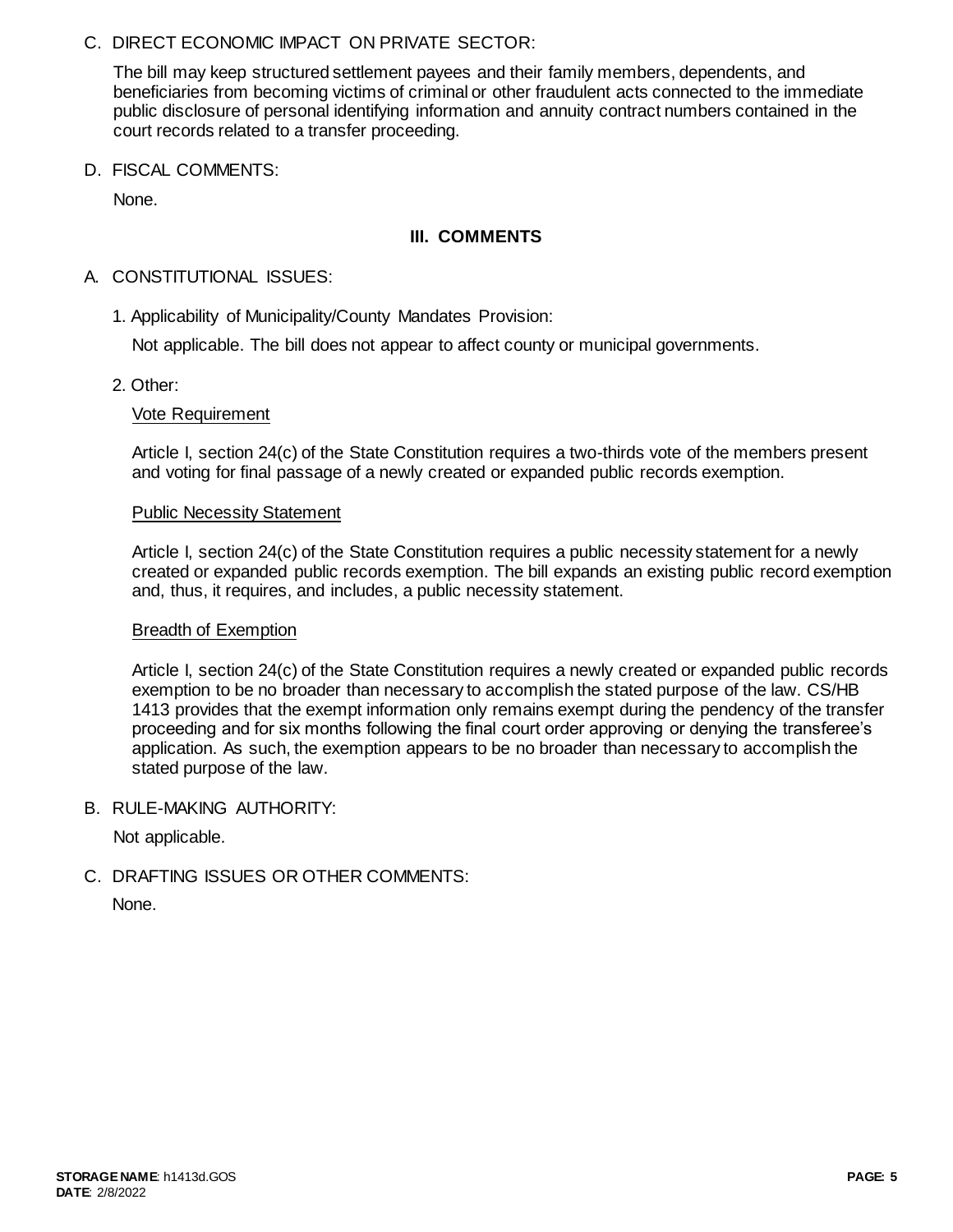C. DIRECT ECONOMIC IMPACT ON PRIVATE SECTOR:

The bill may keep structured settlement payees and their family members, dependents, and beneficiaries from becoming victims of criminal or other fraudulent acts connected to the immediate public disclosure of personal identifying information and annuity contract numbers contained in the court records related to a transfer proceeding.

D. FISCAL COMMENTS:

None.

## **III. COMMENTS**

## A. CONSTITUTIONAL ISSUES:

1. Applicability of Municipality/County Mandates Provision:

Not applicable. The bill does not appear to affect county or municipal governments.

2. Other:

### Vote Requirement

Article I, section 24(c) of the State Constitution requires a two-thirds vote of the members present and voting for final passage of a newly created or expanded public records exemption.

#### Public Necessity Statement

Article I, section 24(c) of the State Constitution requires a public necessity statement for a newly created or expanded public records exemption. The bill expands an existing public record exemption and, thus, it requires, and includes, a public necessity statement.

#### Breadth of Exemption

Article I, section 24(c) of the State Constitution requires a newly created or expanded public records exemption to be no broader than necessary to accomplish the stated purpose of the law. CS/HB 1413 provides that the exempt information only remains exempt during the pendency of the transfer proceeding and for six months following the final court order approving or denying the transferee's application. As such, the exemption appears to be no broader than necessary to accomplish the stated purpose of the law.

B. RULE-MAKING AUTHORITY:

Not applicable.

C. DRAFTING ISSUES OR OTHER COMMENTS:

None.